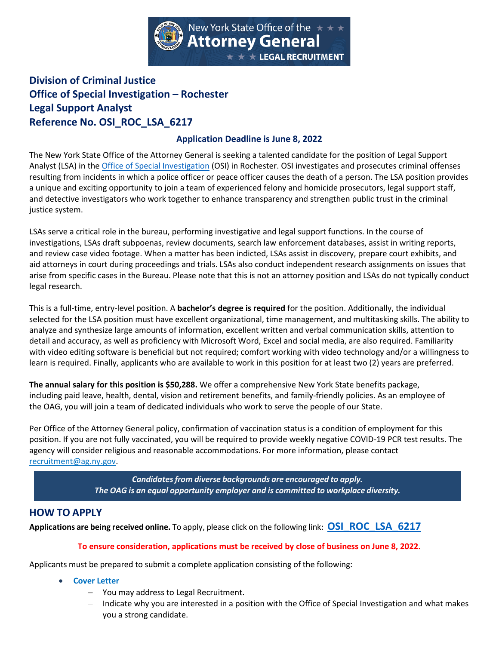

## **Division of Criminal Justice Office of Special Investigation – Rochester Legal Support Analyst Reference No. OSI\_ROC\_LSA\_6217**

## **Application Deadline is June 8, 2022**

The New York State Office of the Attorney General is seeking a talented candidate for the position of Legal Support Analyst (LSA) in the [Office of Special Investigation](https://ag.ny.gov/OSI) (OSI) in Rochester. OSI investigates and prosecutes criminal offenses resulting from incidents in which a police officer or peace officer causes the death of a person. The LSA position provides a unique and exciting opportunity to join a team of experienced felony and homicide prosecutors, legal support staff, and detective investigators who work together to enhance transparency and strengthen public trust in the criminal justice system.

LSAs serve a critical role in the bureau, performing investigative and legal support functions. In the course of investigations, LSAs draft subpoenas, review documents, search law enforcement databases, assist in writing reports, and review case video footage. When a matter has been indicted, LSAs assist in discovery, prepare court exhibits, and aid attorneys in court during proceedings and trials. LSAs also conduct independent research assignments on issues that arise from specific cases in the Bureau. Please note that this is not an attorney position and LSAs do not typically conduct legal research.

This is a full-time, entry-level position. A **bachelor's degree is required** for the position. Additionally, the individual selected for the LSA position must have excellent organizational, time management, and multitasking skills. The ability to analyze and synthesize large amounts of information, excellent written and verbal communication skills, attention to detail and accuracy, as well as proficiency with Microsoft Word, Excel and social media, are also required. Familiarity with video editing software is beneficial but not required; comfort working with video technology and/or a willingness to learn is required. Finally, applicants who are available to work in this position for at least two (2) years are preferred.

**The annual salary for this position is \$50,288.** We offer a comprehensive New York State benefits package, including paid leave, health, dental, vision and retirement benefits, and family-friendly policies. As an employee of the OAG, you will join a team of dedicated individuals who work to serve the people of our State.

Per Office of the Attorney General policy, confirmation of vaccination status is a condition of employment for this position. If you are not fully vaccinated, you will be required to provide weekly negative COVID-19 PCR test results. The agency will consider religious and reasonable accommodations. For more information, please contact [recruitment@ag.ny.gov.](mailto:Recruitment@ag.ny.gov)

> *Candidatesfrom diverse backgrounds are encouraged to apply. The OAG is an equal opportunity employer and is committed to workplace diversity.*

## **HOW TO APPLY**

**Applications are being received online.** To apply, please click on the following link: **[OSI\\_ROC\\_LSA\\_6217](https://lgr.ag.ny.gov/ords/f?p=136:10:::::P10_LGR_JOB_ID,P10_POSITIONTYPE,P10_LGR_WRITING_SAMPLE_IND:4199,27,Y)**

## **To ensure consideration, applications must be received by close of business on June 8, 2022.**

Applicants must be prepared to submit a complete application consisting of the following:

- **[Cover Letter](http://ag.ny.gov/legal-recruitment/document-requirement-exempt-applications)**
	- − You may address to Legal Recruitment.
	- − Indicate why you are interested in a position with the Office of Special Investigation and what makes you a strong candidate.